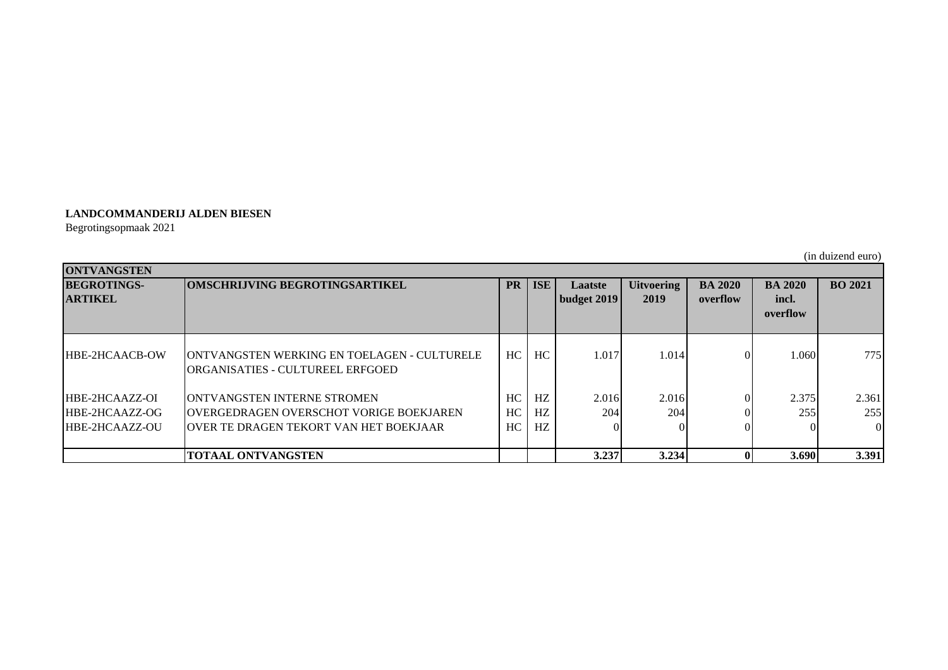## **LANDCOMMANDERIJ ALDEN BIESEN**

Begrotingsopmaak 2021

(in duizend euro)

| <b>ONTVANGSTEN</b>                                        |                                                                                                                                          |                |                 |                            |                           |                            |                                     |                          |  |
|-----------------------------------------------------------|------------------------------------------------------------------------------------------------------------------------------------------|----------------|-----------------|----------------------------|---------------------------|----------------------------|-------------------------------------|--------------------------|--|
| <b>BEGROTINGS-</b><br><b>ARTIKEL</b>                      | <b>OMSCHRIJVING BEGROTINGSARTIKEL</b>                                                                                                    |                | <b>ISE</b>      | Laatste<br>  budget $2019$ | <b>Uitvoering</b><br>2019 | <b>BA 2020</b><br>overflow | <b>BA 2020</b><br>incl.<br>overflow | <b>BO 2021</b>           |  |
| <b>HBE-2HCAACB-OW</b>                                     | ONTVANGSTEN WERKING EN TOELAGEN - CULTURELE<br><b>ORGANISATIES - CULTUREEL ERFGOED</b>                                                   | HC.            | HC              | 1.017                      | 1.014                     | ΩI                         | .060                                | 775                      |  |
| HBE-2HCAAZZ-OI<br><b>HBE-2HCAAZZ-OG</b><br>HBE-2HCAAZZ-OU | <b>IONTVANGSTEN INTERNE STROMEN</b><br><b>IOVERGEDRAGEN OVERSCHOT VORIGE BOEKJAREN</b><br><b>JOVER TE DRAGEN TEKORT VAN HET BOEKJAAR</b> | HC<br>HC<br>HC | HZ.<br>HZ<br>HZ | 2.016<br><b>204</b>        | 2.016<br>204              | Οl                         | 2.375<br>255                        | 2.361<br>255<br>$\Omega$ |  |
|                                                           | <b>TOTAAL ONTVANGSTEN</b>                                                                                                                |                |                 | 3.237                      | 3.234                     |                            | 3.690                               | 3.391                    |  |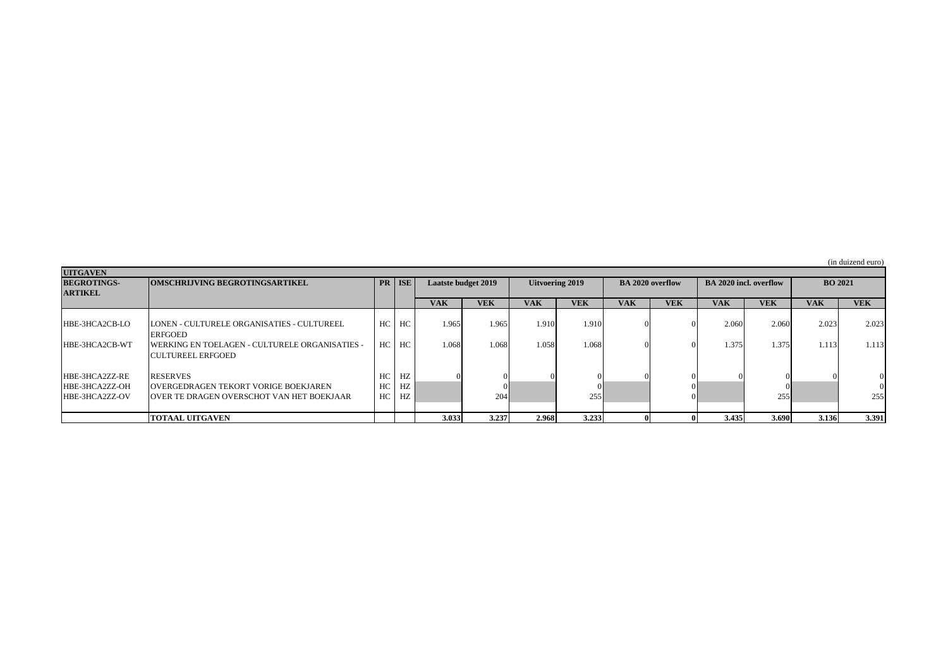| <b>UITGAVEN</b>    |                                                       |    |          |                            |            |                 |            |                         |            |                               |            |                |            |
|--------------------|-------------------------------------------------------|----|----------|----------------------------|------------|-----------------|------------|-------------------------|------------|-------------------------------|------------|----------------|------------|
| <b>BEGROTINGS-</b> | <b>OMSCHRIJVING BEGROTINGSARTIKEL</b>                 |    | PR   ISE | <b>Laatste budget 2019</b> |            | Uitvoering 2019 |            | <b>BA 2020 overflow</b> |            | <b>BA 2020 incl. overflow</b> |            | <b>BO 2021</b> |            |
| <b>ARTIKEL</b>     |                                                       |    |          |                            |            |                 |            |                         |            |                               |            |                |            |
|                    |                                                       |    |          | <b>VAK</b>                 | <b>VEK</b> | <b>VAK</b>      | <b>VEK</b> | <b>VAK</b>              | <b>VEK</b> | <b>VAK</b>                    | <b>VEK</b> | <b>VAK</b>     | <b>VEK</b> |
|                    |                                                       |    |          |                            |            |                 |            |                         |            |                               |            |                |            |
| HBE-3HCA2CB-LO     | ILONEN - CULTURELE ORGANISATIES - CULTUREEL           | HC | HC       | 1.965                      | 1.965      | 1.910           | 1.910      |                         |            | 2.060                         | 2.060      | 2.023          | 2.023      |
|                    | <b>ERFGOED</b>                                        |    |          |                            |            |                 |            |                         |            |                               |            |                |            |
| HBE-3HCA2CB-WT     | <b>WERKING EN TOELAGEN - CULTURELE ORGANISATIES -</b> | HC | HC       | 1.068                      | 1.068      | 1.058           | 1.068      |                         |            | 1.375                         | 1.375      | 1.113          | 1.113      |
|                    | <b>ICULTUREEL ERFGOED</b>                             |    |          |                            |            |                 |            |                         |            |                               |            |                |            |
| HBE-3HCA2ZZ-RE     | <b>RESERVES</b>                                       | HC | HZ       |                            |            |                 |            |                         |            |                               |            |                |            |
| HBE-3HCA2ZZ-OH     | IOVERGEDRAGEN TEKORT VORIGE BOEKJAREN                 | HC | HZ       |                            |            |                 |            |                         |            |                               |            |                |            |
| HBE-3HCA2ZZ-OV     | IOVER TE DRAGEN OVERSCHOT VAN HET BOEKJAAR            | HC | HZ       |                            | 204        |                 | 255        |                         |            |                               | 255        |                | 255        |
|                    |                                                       |    |          |                            |            |                 |            |                         |            |                               |            |                |            |
|                    | <b>TOTAAL UITGAVEN</b>                                |    |          | 3.033                      | 3.237      | 2.968           | 3.233      |                         |            | 3.435                         | 3.690      | 3.136          | 3.391      |

(in duizend euro)